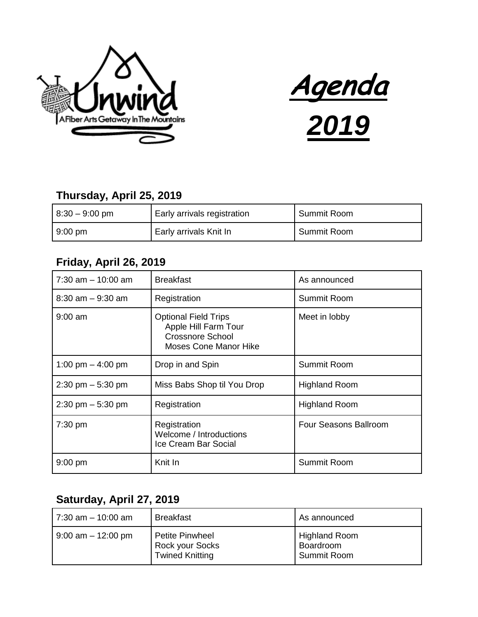



## **Thursday, April 25, 2019**

| $8:30 - 9:00$ pm  | Early arrivals registration | Summit Room |
|-------------------|-----------------------------|-------------|
| $9:00 \text{ pm}$ | Early arrivals Knit In      | Summit Room |

### **Friday, April 26, 2019**

| $7:30$ am $-10:00$ am               | <b>Breakfast</b>                                                                                               | As announced          |
|-------------------------------------|----------------------------------------------------------------------------------------------------------------|-----------------------|
| $8:30$ am $-9:30$ am                | Registration                                                                                                   | Summit Room           |
| $9:00$ am                           | <b>Optional Field Trips</b><br>Apple Hill Farm Tour<br><b>Crossnore School</b><br><b>Moses Cone Manor Hike</b> | Meet in lobby         |
| 1:00 pm $-$ 4:00 pm                 | Drop in and Spin                                                                                               | <b>Summit Room</b>    |
| $2:30 \text{ pm} - 5:30 \text{ pm}$ | Miss Babs Shop til You Drop                                                                                    | <b>Highland Room</b>  |
| $2:30 \text{ pm} - 5:30 \text{ pm}$ | Registration                                                                                                   | <b>Highland Room</b>  |
| $7:30$ pm                           | Registration<br>Welcome / Introductions<br>Ice Cream Bar Social                                                | Four Seasons Ballroom |
| $9:00$ pm                           | Knit In                                                                                                        | Summit Room           |

## **Saturday, April 27, 2019**

| 7:30 am - 10:00 am    | <b>Breakfast</b>                                             | As announced                                     |
|-----------------------|--------------------------------------------------------------|--------------------------------------------------|
| $9:00$ am $-12:00$ pm | Petite Pinwheel<br>Rock your Socks<br><b>Twined Knitting</b> | <b>Highland Room</b><br>Boardroom<br>Summit Room |